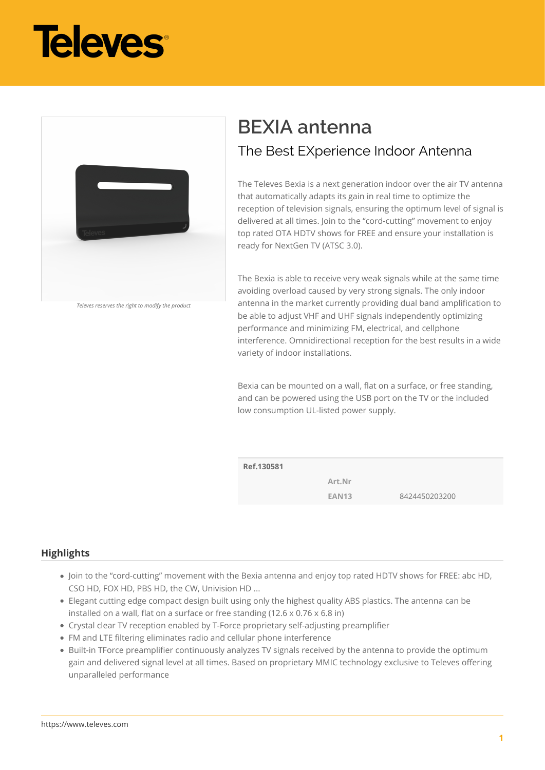



*Televes reserves the right to modify the product*

# **BEXIA antenna** The Best EXperience Indoor Antenna

The Televes Bexia is a next generation indoor over the air TV antenna that automatically adapts its gain in real time to optimize the reception of television signals, ensuring the optimum level of signal is delivered at all times. Join to the "cord-cutting" movement to enjoy top rated OTA HDTV shows for FREE and ensure your installation is ready for NextGen TV (ATSC 3.0).

The Bexia is able to receive very weak signals while at the same time avoiding overload caused by very strong signals. The only indoor antenna in the market currently providing dual band amplification to be able to adjust VHF and UHF signals independently optimizing performance and minimizing FM, electrical, and cellphone interference. Omnidirectional reception for the best results in a wide variety of indoor installations.

Bexia can be mounted on a wall, flat on a surface, or free standing, and can be powered using the USB port on the TV or the included low consumption UL-listed power supply.

**Ref.130581**

**Art.Nr**

**EAN13** 8424450203200

## **Highlights**

- Join to the "cord-cutting" movement with the Bexia antenna and enjoy top rated HDTV shows for FREE: abc HD, CSO HD, FOX HD, PBS HD, the CW, Univision HD ...
- Elegant cutting edge compact design built using only the highest quality ABS plastics. The antenna can be installed on a wall, flat on a surface or free standing (12.6 x 0.76 x 6.8 in)
- Crystal clear TV reception enabled by T-Force proprietary self-adjusting preamplifier
- FM and LTE filtering eliminates radio and cellular phone interference
- Built-in TForce preamplifier continuously analyzes TV signals received by the antenna to provide the optimum gain and delivered signal level at all times. Based on proprietary MMIC technology exclusive to Televes offering unparalleled performance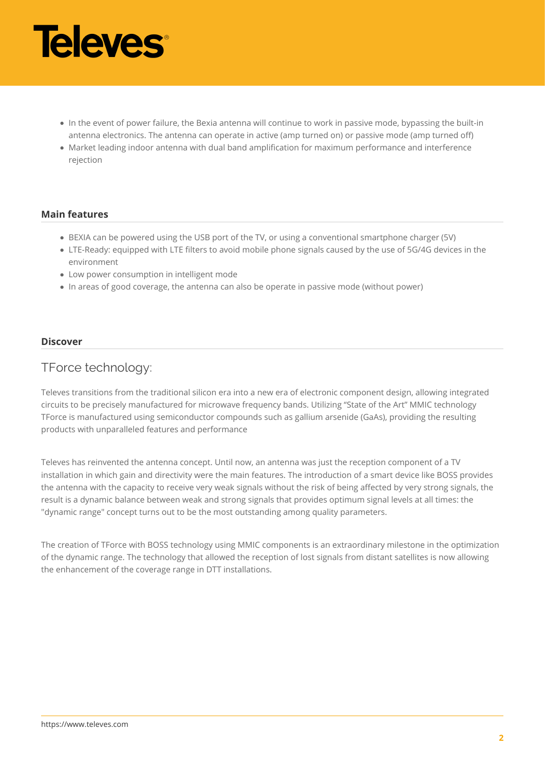

- In the event of power failure, the Bexia antenna will continue to work in passive mode, bypassing the built-in antenna electronics. The antenna can operate in active (amp turned on) or passive mode (amp turned off)
- Market leading indoor antenna with dual band amplification for maximum performance and interference rejection

## **Main features**

- BEXIA can be powered using the USB port of the TV, or using a conventional smartphone charger (5V)
- LTE-Ready: equipped with LTE filters to avoid mobile phone signals caused by the use of 5G/4G devices in the environment
- Low power consumption in intelligent mode
- In areas of good coverage, the antenna can also be operate in passive mode (without power)

#### **Discover**

# TForce technology:

Televes transitions from the traditional silicon era into a new era of electronic component design, allowing integrated circuits to be precisely manufactured for microwave frequency bands. Utilizing "State of the Art" MMIC technology TForce is manufactured using semiconductor compounds such as gallium arsenide (GaAs), providing the resulting products with unparalleled features and performance

Televes has reinvented the antenna concept. Until now, an antenna was just the reception component of a TV installation in which gain and directivity were the main features. The introduction of a smart device like BOSS provides the antenna with the capacity to receive very weak signals without the risk of being affected by very strong signals, the result is a dynamic balance between weak and strong signals that provides optimum signal levels at all times: the "dynamic range" concept turns out to be the most outstanding among quality parameters.

The creation of TForce with BOSS technology using MMIC components is an extraordinary milestone in the optimization of the dynamic range. The technology that allowed the reception of lost signals from distant satellites is now allowing the enhancement of the coverage range in DTT installations.